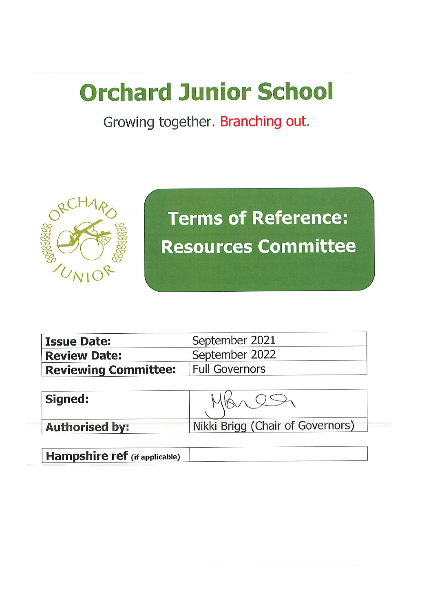## **Orchard Junior School**

Growing together. Branching out.



# **Terms of Reference:** Resources Committee

| <b>Issue Date:</b>                           | September 2021 |
|----------------------------------------------|----------------|
|                                              |                |
| <b>Review Date:</b>                          | September 2022 |
| <b>Reviewing Committee:</b>   Full Governors |                |

| <b>Signed:</b>        |                                  |
|-----------------------|----------------------------------|
| <b>Authorised by:</b> | Nikki Brigg (Chair of Governors) |

**Hampshire ref** (if applicable)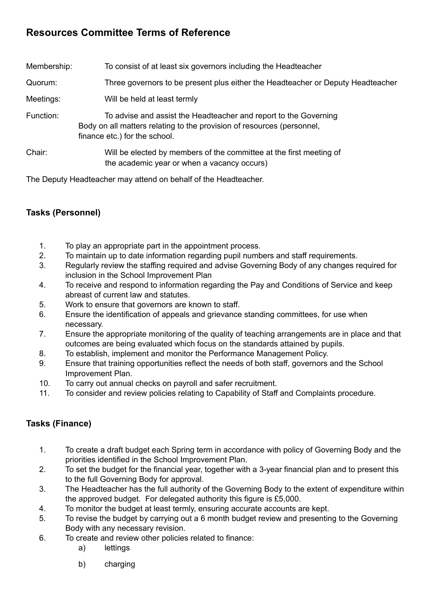## **Resources Committee Terms of Reference**

| Membership: | To consist of at least six governors including the Headteacher                                                                                                              |  |
|-------------|-----------------------------------------------------------------------------------------------------------------------------------------------------------------------------|--|
| Quorum:     | Three governors to be present plus either the Headteacher or Deputy Headteacher                                                                                             |  |
| Meetings:   | Will be held at least termly                                                                                                                                                |  |
| Function:   | To advise and assist the Headteacher and report to the Governing<br>Body on all matters relating to the provision of resources (personnel,<br>finance etc.) for the school. |  |
| Chair:      | Will be elected by members of the committee at the first meeting of<br>the academic year or when a vacancy occurs)                                                          |  |

The Deputy Headteacher may attend on behalf of the Headteacher.

### **Tasks (Personnel)**

- 1. To play an appropriate part in the appointment process.
- 2. To maintain up to date information regarding pupil numbers and staff requirements.
- 3. Regularly review the staffing required and advise Governing Body of any changes required for inclusion in the School Improvement Plan
- 4. To receive and respond to information regarding the Pay and Conditions of Service and keep abreast of current law and statutes.
- 5. Work to ensure that governors are known to staff.
- 6. Ensure the identification of appeals and grievance standing committees, for use when necessary.
- 7. Ensure the appropriate monitoring of the quality of teaching arrangements are in place and that outcomes are being evaluated which focus on the standards attained by pupils.
- 8. To establish, implement and monitor the Performance Management Policy.
- 9. Ensure that training opportunities reflect the needs of both staff, governors and the School Improvement Plan.
- 10. To carry out annual checks on payroll and safer recruitment.
- 11. To consider and review policies relating to Capability of Staff and Complaints procedure.

### **Tasks (Finance)**

- 1. To create a draft budget each Spring term in accordance with policy of Governing Body and the priorities identified in the School Improvement Plan.
- 2. To set the budget for the financial year, together with a 3-year financial plan and to present this to the full Governing Body for approval.
- 3. The Headteacher has the full authority of the Governing Body to the extent of expenditure within the approved budget. For delegated authority this figure is £5,000.
- 4. To monitor the budget at least termly, ensuring accurate accounts are kept.
- 5. To revise the budget by carrying out a 6 month budget review and presenting to the Governing Body with any necessary revision.
- 6. To create and review other policies related to finance:
	- a) lettings
	- b) charging